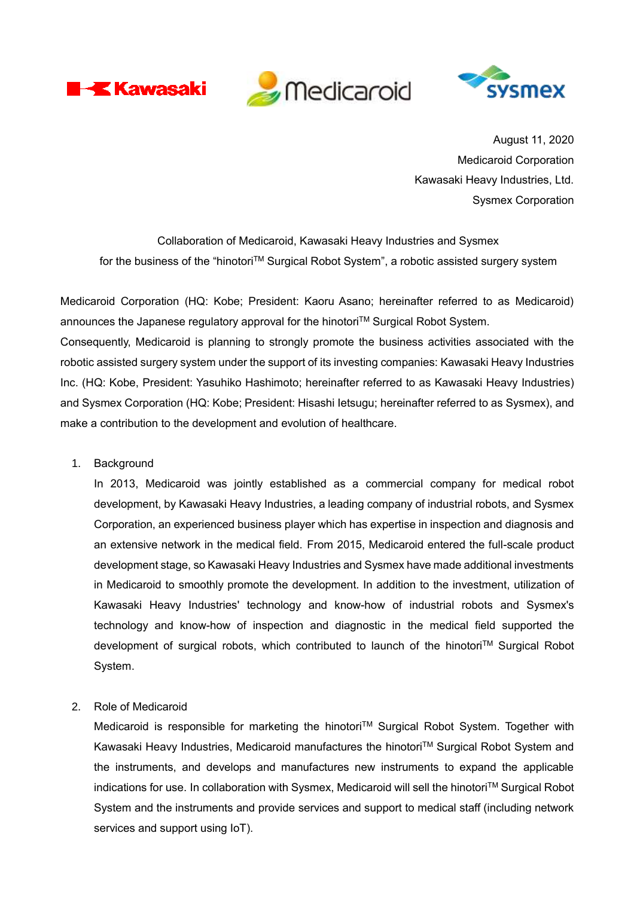





August 11, 2020 Medicaroid Corporation Kawasaki Heavy Industries, Ltd. Sysmex Corporation

Collaboration of Medicaroid, Kawasaki Heavy Industries and Sysmex for the business of the "hinotori™ Surgical Robot System", a robotic assisted surgery system

Medicaroid Corporation (HQ: Kobe; President: Kaoru Asano; hereinafter referred to as Medicaroid) announces the Japanese regulatory approval for the hinotori™ Surgical Robot System. Consequently, Medicaroid is planning to strongly promote the business activities associated with the robotic assisted surgery system under the support of its investing companies: Kawasaki Heavy Industries Inc. (HQ: Kobe, President: Yasuhiko Hashimoto; hereinafter referred to as Kawasaki Heavy Industries) and Sysmex Corporation (HQ: Kobe; President: Hisashi Ietsugu; hereinafter referred to as Sysmex), and make a contribution to the development and evolution of healthcare.

1. Background

In 2013, Medicaroid was jointly established as a commercial company for medical robot development, by Kawasaki Heavy Industries, a leading company of industrial robots, and Sysmex Corporation, an experienced business player which has expertise in inspection and diagnosis and an extensive network in the medical field. From 2015, Medicaroid entered the full-scale product development stage, so Kawasaki Heavy Industries and Sysmex have made additional investments in Medicaroid to smoothly promote the development. In addition to the investment, utilization of Kawasaki Heavy Industries' technology and know-how of industrial robots and Sysmex's technology and know-how of inspection and diagnostic in the medical field supported the development of surgical robots, which contributed to launch of the hinotoriTM Surgical Robot System.

2. Role of Medicaroid

Medicaroid is responsible for marketing the hinotori™ Surgical Robot System. Together with Kawasaki Heavy Industries, Medicaroid manufactures the hinotori™ Surgical Robot System and the instruments, and develops and manufactures new instruments to expand the applicable indications for use. In collaboration with Sysmex, Medicaroid will sell the hinotori™ Surgical Robot System and the instruments and provide services and support to medical staff (including network services and support using IoT).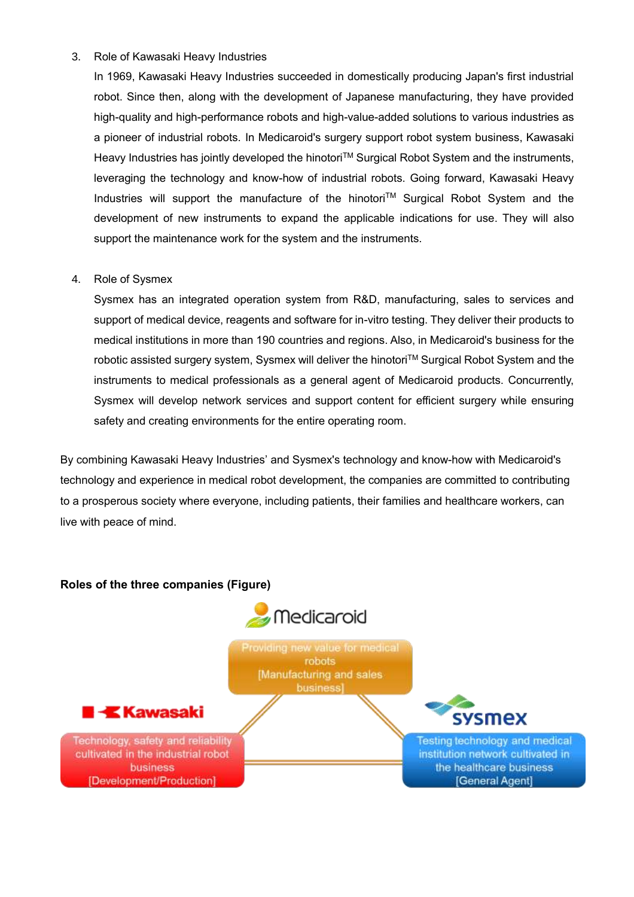#### 3. Role of Kawasaki Heavy Industries

In 1969, Kawasaki Heavy Industries succeeded in domestically producing Japan's first industrial robot. Since then, along with the development of Japanese manufacturing, they have provided high-quality and high-performance robots and high-value-added solutions to various industries as a pioneer of industrial robots. In Medicaroid's surgery support robot system business, Kawasaki Heavy Industries has jointly developed the hinotori™ Surgical Robot System and the instruments, leveraging the technology and know-how of industrial robots. Going forward, Kawasaki Heavy Industries will support the manufacture of the hinotori™ Surgical Robot System and the development of new instruments to expand the applicable indications for use. They will also support the maintenance work for the system and the instruments.

#### 4. Role of Sysmex

Sysmex has an integrated operation system from R&D, manufacturing, sales to services and support of medical device, reagents and software for in-vitro testing. They deliver their products to medical institutions in more than 190 countries and regions. Also, in Medicaroid's business for the robotic assisted surgery system, Sysmex will deliver the hinotori™ Surgical Robot System and the instruments to medical professionals as a general agent of Medicaroid products. Concurrently, Sysmex will develop network services and support content for efficient surgery while ensuring safety and creating environments for the entire operating room.

By combining Kawasaki Heavy Industries' and Sysmex's technology and know-how with Medicaroid's technology and experience in medical robot development, the companies are committed to contributing to a prosperous society where everyone, including patients, their families and healthcare workers, can live with peace of mind.

### **Roles of the three companies (Figure)**



Providing new value for medical robots Manufacturing and sales business]



Technology, safety and reliability cultivated in the industrial robot business [Development/Production]

Testing technology and medical institution network cultivated in the healthcare business [General Agent]

sysmex